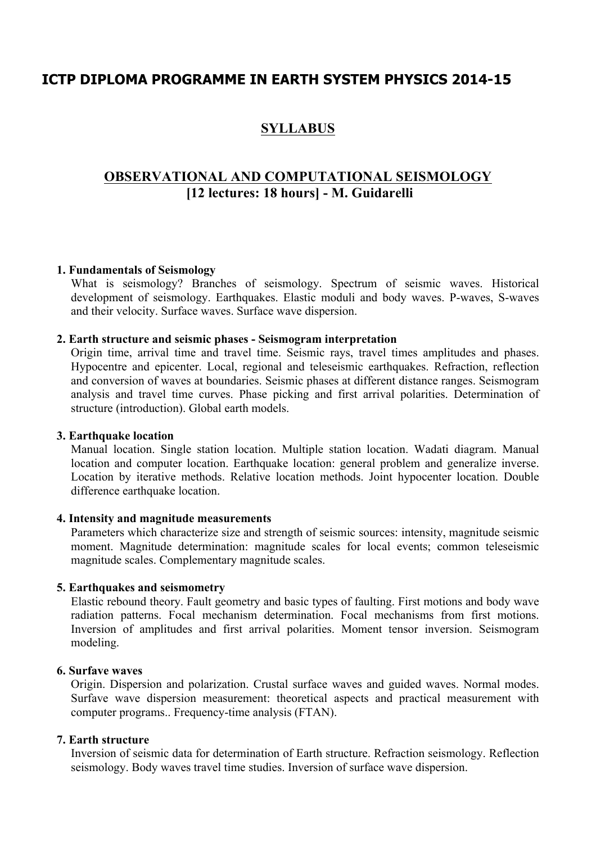## **ICTP DIPLOMA PROGRAMME IN EARTH SYSTEM PHYSICS 2014-15**

# **SYLLABUS**

## **OBSERVATIONAL AND COMPUTATIONAL SEISMOLOGY [12 lectures: 18 hours] - M. Guidarelli**

### **1. Fundamentals of Seismology**

What is seismology? Branches of seismology. Spectrum of seismic waves. Historical development of seismology. Earthquakes. Elastic moduli and body waves. P-waves, S-waves and their velocity. Surface waves. Surface wave dispersion.

### **2. Earth structure and seismic phases - Seismogram interpretation**

Origin time, arrival time and travel time. Seismic rays, travel times amplitudes and phases. Hypocentre and epicenter. Local, regional and teleseismic earthquakes. Refraction, reflection and conversion of waves at boundaries. Seismic phases at different distance ranges. Seismogram analysis and travel time curves. Phase picking and first arrival polarities. Determination of structure (introduction). Global earth models.

#### **3. Earthquake location**

Manual location. Single station location. Multiple station location. Wadati diagram. Manual location and computer location. Earthquake location: general problem and generalize inverse. Location by iterative methods. Relative location methods. Joint hypocenter location. Double difference earthquake location.

#### **4. Intensity and magnitude measurements**

Parameters which characterize size and strength of seismic sources: intensity, magnitude seismic moment. Magnitude determination: magnitude scales for local events; common teleseismic magnitude scales. Complementary magnitude scales.

#### **5. Earthquakes and seismometry**

Elastic rebound theory. Fault geometry and basic types of faulting. First motions and body wave radiation patterns. Focal mechanism determination. Focal mechanisms from first motions. Inversion of amplitudes and first arrival polarities. Moment tensor inversion. Seismogram modeling.

#### **6. Surfave waves**

Origin. Dispersion and polarization. Crustal surface waves and guided waves. Normal modes. Surfave wave dispersion measurement: theoretical aspects and practical measurement with computer programs.. Frequency-time analysis (FTAN).

#### **7. Earth structure**

Inversion of seismic data for determination of Earth structure. Refraction seismology. Reflection seismology. Body waves travel time studies. Inversion of surface wave dispersion.